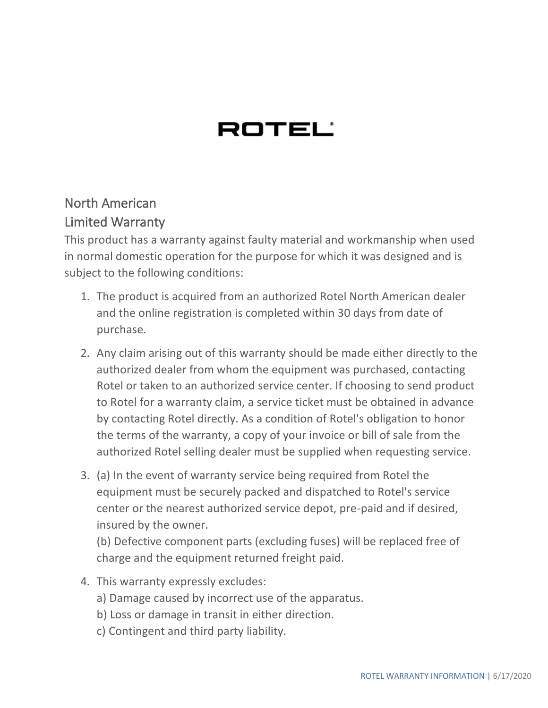## ROTEL'

## North American Limited Warranty

This product has a warranty against faulty material and workmanship when used in normal domestic operation for the purpose for which it was designed and is subject to the following conditions:

- 1. The product is acquired from an authorized Rotel North American dealer and the online registration is completed within 30 days from date of purchase.
- 2. Any claim arising out of this warranty should be made either directly to the authorized dealer from whom the equipment was purchased, contacting Rotel or taken to an authorized service center. If choosing to send product to Rotel for a warranty claim, a service ticket must be obtained in advance by contacting Rotel directly. As a condition of Rotel's obligation to honor the terms of the warranty, a copy of your invoice or bill of sale from the authorized Rotel selling dealer must be supplied when requesting service.
- 3. (a) In the event of warranty service being required from Rotel the equipment must be securely packed and dispatched to Rotel's service center or the nearest authorized service depot, pre-paid and if desired, insured by the owner.

(b) Defective component parts (excluding fuses) will be replaced free of charge and the equipment returned freight paid.

- 4. This warranty expressly excludes:
	- a) Damage caused by incorrect use of the apparatus.
	- b) Loss or damage in transit in either direction.
	- c) Contingent and third party liability.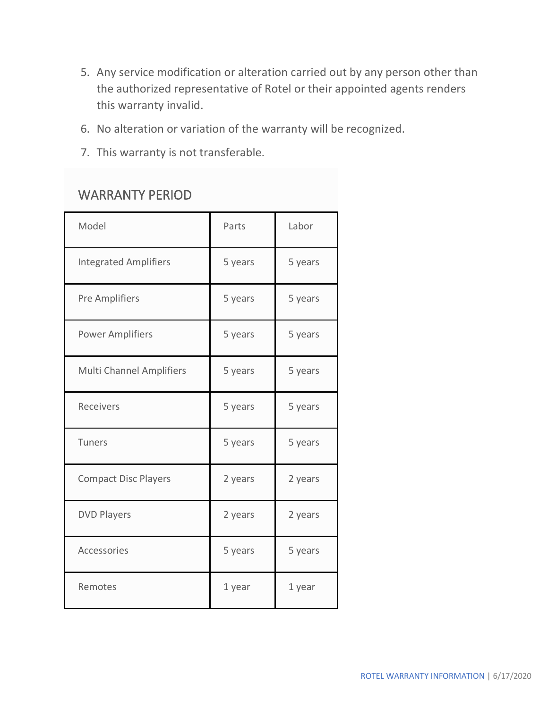- 5. Any service modification or alteration carried out by any person other than the authorized representative of Rotel or their appointed agents renders this warranty invalid.
- 6. No alteration or variation of the warranty will be recognized.
- 7. This warranty is not transferable.

## WARRANTY PERIOD

| Model                           | Parts   | Labor   |
|---------------------------------|---------|---------|
| <b>Integrated Amplifiers</b>    | 5 years | 5 years |
| <b>Pre Amplifiers</b>           | 5 years | 5 years |
| <b>Power Amplifiers</b>         | 5 years | 5 years |
| <b>Multi Channel Amplifiers</b> | 5 years | 5 years |
| Receivers                       | 5 years | 5 years |
| Tuners                          | 5 years | 5 years |
| <b>Compact Disc Players</b>     | 2 years | 2 years |
| <b>DVD Players</b>              | 2 years | 2 years |
| Accessories                     | 5 years | 5 years |
| Remotes                         | 1 year  | 1 year  |